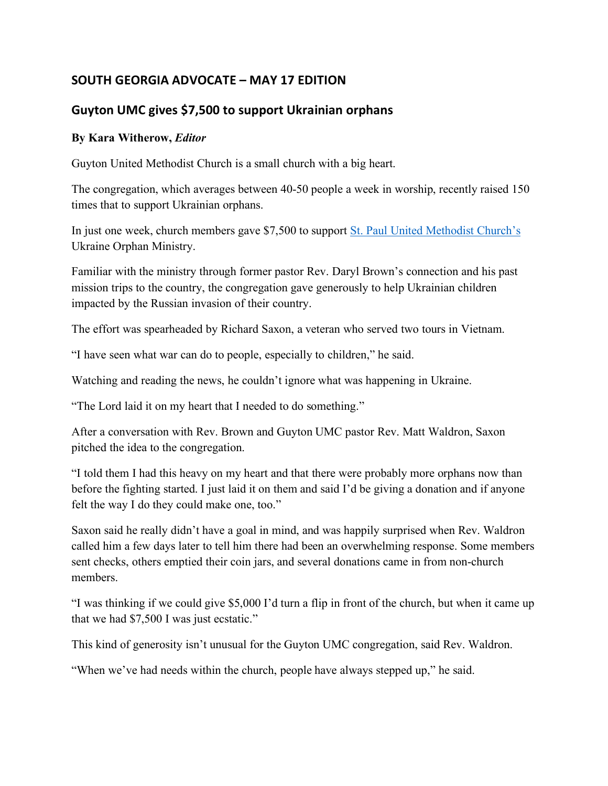## **SOUTH GEORGIA ADVOCATE – MAY 17 EDITION**

## **Guyton UMC gives \$7,500 to support Ukrainian orphans**

## **By Kara Witherow,** *Editor*

Guyton United Methodist Church is a small church with a big heart.

The congregation, which averages between 40-50 people a week in worship, recently raised 150 times that to support Ukrainian orphans.

In just one week, church members gave \$7,500 to support St. Paul United Methodist Church's Ukraine Orphan Ministry.

Familiar with the ministry through former pastor Rev. Daryl Brown's connection and his past mission trips to the country, the congregation gave generously to help Ukrainian children impacted by the Russian invasion of their country.

The effort was spearheaded by Richard Saxon, a veteran who served two tours in Vietnam.

"I have seen what war can do to people, especially to children," he said.

Watching and reading the news, he couldn't ignore what was happening in Ukraine.

"The Lord laid it on my heart that I needed to do something."

After a conversation with Rev. Brown and Guyton UMC pastor Rev. Matt Waldron, Saxon pitched the idea to the congregation.

"I told them I had this heavy on my heart and that there were probably more orphans now than before the fighting started. I just laid it on them and said I'd be giving a donation and if anyone felt the way I do they could make one, too."

Saxon said he really didn't have a goal in mind, and was happily surprised when Rev. Waldron called him a few days later to tell him there had been an overwhelming response. Some members sent checks, others emptied their coin jars, and several donations came in from non-church members.

"I was thinking if we could give \$5,000 I'd turn a flip in front of the church, but when it came up that we had \$7,500 I was just ecstatic."

This kind of generosity isn't unusual for the Guyton UMC congregation, said Rev. Waldron.

"When we've had needs within the church, people have always stepped up," he said.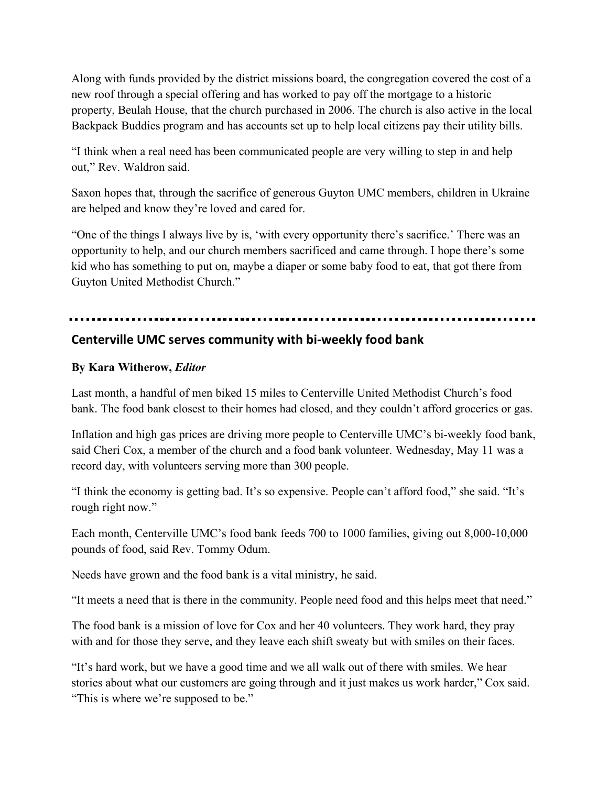Along with funds provided by the district missions board, the congregation covered the cost of a new roof through a special offering and has worked to pay off the mortgage to a historic property, Beulah House, that the church purchased in 2006. The church is also active in the local Backpack Buddies program and has accounts set up to help local citizens pay their utility bills.

"I think when a real need has been communicated people are very willing to step in and help out," Rev. Waldron said.

Saxon hopes that, through the sacrifice of generous Guyton UMC members, children in Ukraine are helped and know they're loved and cared for.

"One of the things I always live by is, 'with every opportunity there's sacrifice.' There was an opportunity to help, and our church members sacrificed and came through. I hope there's some kid who has something to put on, maybe a diaper or some baby food to eat, that got there from Guyton United Methodist Church."

## **Centerville UMC serves community with bi-weekly food bank**

### **By Kara Witherow,** *Editor*

Last month, a handful of men biked 15 miles to Centerville United Methodist Church's food bank. The food bank closest to their homes had closed, and they couldn't afford groceries or gas.

Inflation and high gas prices are driving more people to Centerville UMC's bi-weekly food bank, said Cheri Cox, a member of the church and a food bank volunteer. Wednesday, May 11 was a record day, with volunteers serving more than 300 people.

"I think the economy is getting bad. It's so expensive. People can't afford food," she said. "It's rough right now."

Each month, Centerville UMC's food bank feeds 700 to 1000 families, giving out 8,000-10,000 pounds of food, said Rev. Tommy Odum.

Needs have grown and the food bank is a vital ministry, he said.

"It meets a need that is there in the community. People need food and this helps meet that need."

The food bank is a mission of love for Cox and her 40 volunteers. They work hard, they pray with and for those they serve, and they leave each shift sweaty but with smiles on their faces.

"It's hard work, but we have a good time and we all walk out of there with smiles. We hear stories about what our customers are going through and it just makes us work harder," Cox said. "This is where we're supposed to be."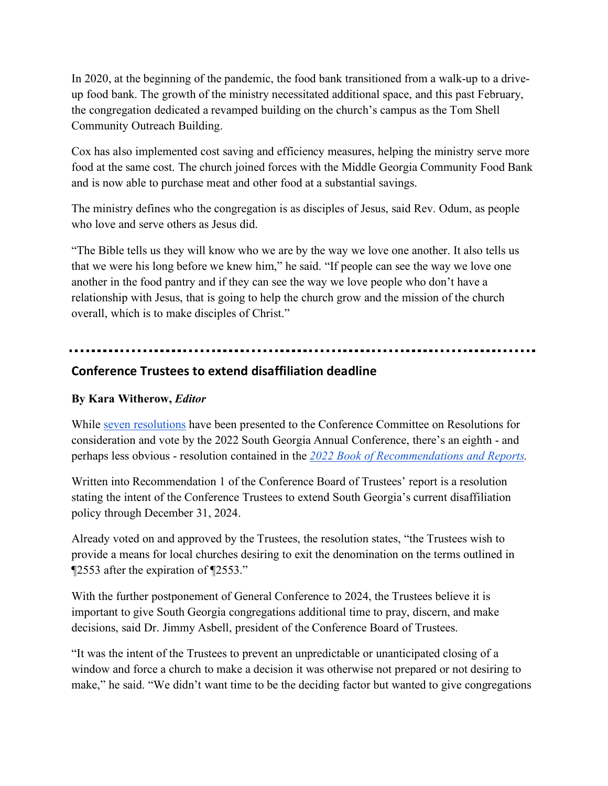In 2020, at the beginning of the pandemic, the food bank transitioned from a walk-up to a driveup food bank. The growth of the ministry necessitated additional space, and this past February, the congregation dedicated a revamped building on the church's campus as the Tom Shell Community Outreach Building.

Cox has also implemented cost saving and efficiency measures, helping the ministry serve more food at the same cost. The church joined forces with the Middle Georgia Community Food Bank and is now able to purchase meat and other food at a substantial savings.

The ministry defines who the congregation is as disciples of Jesus, said Rev. Odum, as people who love and serve others as Jesus did.

"The Bible tells us they will know who we are by the way we love one another. It also tells us that we were his long before we knew him," he said. "If people can see the way we love one another in the food pantry and if they can see the way we love people who don't have a relationship with Jesus, that is going to help the church grow and the mission of the church overall, which is to make disciples of Christ."

## **Conference Trustees to extend disaffiliation deadline**

### **By Kara Witherow,** *Editor*

While seven resolutions have been presented to the Conference Committee on Resolutions for consideration and vote by the 2022 South Georgia Annual Conference, there's an eighth - and perhaps less obvious - resolution contained in the *2022 Book of Recommendations and Reports.*

Written into Recommendation 1 of the Conference Board of Trustees' report is a resolution stating the intent of the Conference Trustees to extend South Georgia's current disaffiliation policy through December 31, 2024.

Already voted on and approved by the Trustees, the resolution states, "the Trustees wish to provide a means for local churches desiring to exit the denomination on the terms outlined in ¶2553 after the expiration of ¶2553."

With the further postponement of General Conference to 2024, the Trustees believe it is important to give South Georgia congregations additional time to pray, discern, and make decisions, said Dr. Jimmy Asbell, president of the Conference Board of Trustees.

"It was the intent of the Trustees to prevent an unpredictable or unanticipated closing of a window and force a church to make a decision it was otherwise not prepared or not desiring to make," he said. "We didn't want time to be the deciding factor but wanted to give congregations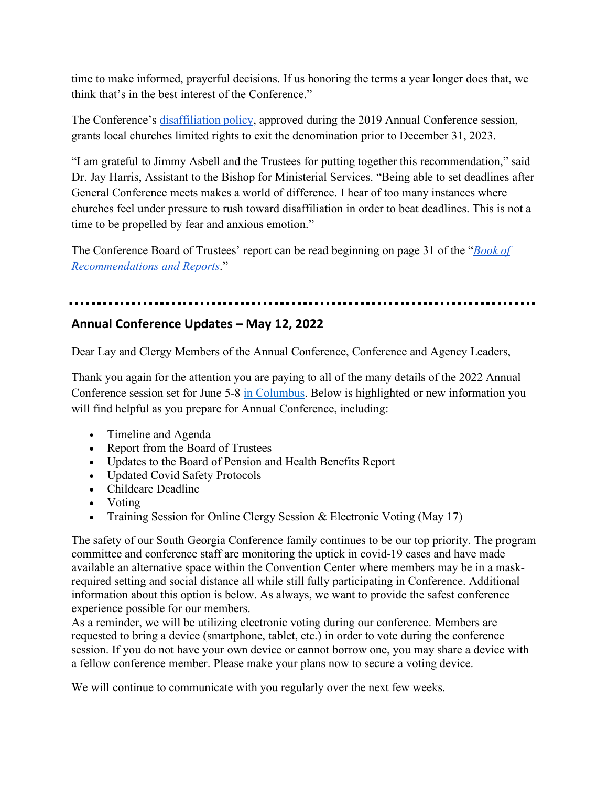time to make informed, prayerful decisions. If us honoring the terms a year longer does that, we think that's in the best interest of the Conference."

The Conference's disaffiliation policy, approved during the 2019 Annual Conference session, grants local churches limited rights to exit the denomination prior to December 31, 2023.

"I am grateful to Jimmy Asbell and the Trustees for putting together this recommendation," said Dr. Jay Harris, Assistant to the Bishop for Ministerial Services. "Being able to set deadlines after General Conference meets makes a world of difference. I hear of too many instances where churches feel under pressure to rush toward disaffiliation in order to beat deadlines. This is not a time to be propelled by fear and anxious emotion."

The Conference Board of Trustees' report can be read beginning on page 31 of the "*Book of Recommendations and Reports*."

## **Annual Conference Updates – May 12, 2022**

Dear Lay and Clergy Members of the Annual Conference, Conference and Agency Leaders,

Thank you again for the attention you are paying to all of the many details of the 2022 Annual Conference session set for June 5-8 in Columbus. Below is highlighted or new information you will find helpful as you prepare for Annual Conference, including:

- Timeline and Agenda
- Report from the Board of Trustees
- Updates to the Board of Pension and Health Benefits Report
- Updated Covid Safety Protocols
- Childcare Deadline
- Voting
- Training Session for Online Clergy Session & Electronic Voting (May 17)

The safety of our South Georgia Conference family continues to be our top priority. The program committee and conference staff are monitoring the uptick in covid-19 cases and have made available an alternative space within the Convention Center where members may be in a maskrequired setting and social distance all while still fully participating in Conference. Additional information about this option is below. As always, we want to provide the safest conference experience possible for our members.

As a reminder, we will be utilizing electronic voting during our conference. Members are requested to bring a device (smartphone, tablet, etc.) in order to vote during the conference session. If you do not have your own device or cannot borrow one, you may share a device with a fellow conference member. Please make your plans now to secure a voting device.

We will continue to communicate with you regularly over the next few weeks.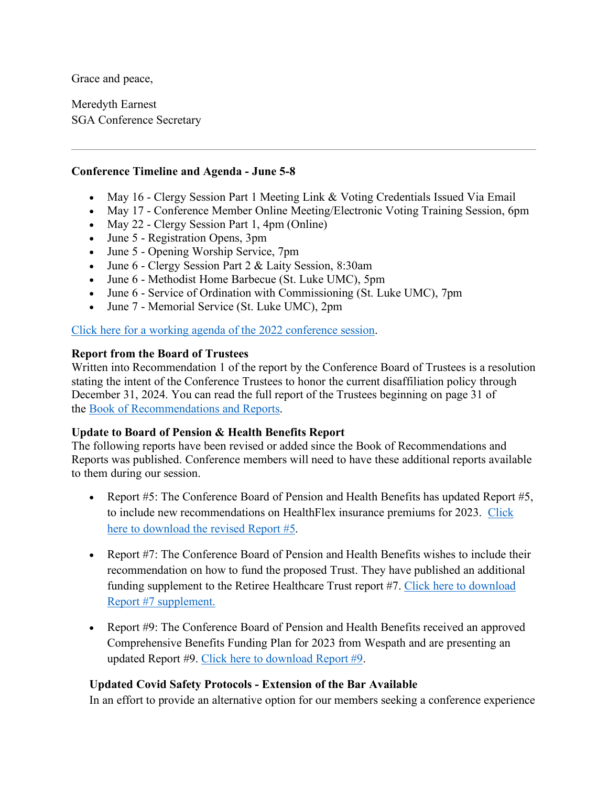Grace and peace,

Meredyth Earnest SGA Conference Secretary

#### **Conference Timeline and Agenda - June 5-8**

- May 16 Clergy Session Part 1 Meeting Link & Voting Credentials Issued Via Email
- May 17 Conference Member Online Meeting/Electronic Voting Training Session, 6pm
- May 22 Clergy Session Part 1, 4pm (Online)
- June 5 Registration Opens, 3pm
- June 5 Opening Worship Service, 7pm
- June 6 Clergy Session Part 2 & Laity Session, 8:30am
- June 6 Methodist Home Barbecue (St. Luke UMC), 5pm
- June 6 Service of Ordination with Commissioning (St. Luke UMC), 7pm
- June 7 Memorial Service (St. Luke UMC), 2pm

Click here for a working agenda of the 2022 conference session.

#### **Report from the Board of Trustees**

Written into Recommendation 1 of the report by the Conference Board of Trustees is a resolution stating the intent of the Conference Trustees to honor the current disaffiliation policy through December 31, 2024. You can read the full report of the Trustees beginning on page 31 of the Book of Recommendations and Reports.

### **Update to Board of Pension & Health Benefits Report**

The following reports have been revised or added since the Book of Recommendations and Reports was published. Conference members will need to have these additional reports available to them during our session.

- Report #5: The Conference Board of Pension and Health Benefits has updated Report #5, to include new recommendations on HealthFlex insurance premiums for 2023. Click here to download the revised Report #5.
- Report #7: The Conference Board of Pension and Health Benefits wishes to include their recommendation on how to fund the proposed Trust. They have published an additional funding supplement to the Retiree Healthcare Trust report #7. Click here to download Report #7 supplement.
- Report #9: The Conference Board of Pension and Health Benefits received an approved Comprehensive Benefits Funding Plan for 2023 from Wespath and are presenting an updated Report #9. Click here to download Report #9.

### **Updated Covid Safety Protocols - Extension of the Bar Available**

In an effort to provide an alternative option for our members seeking a conference experience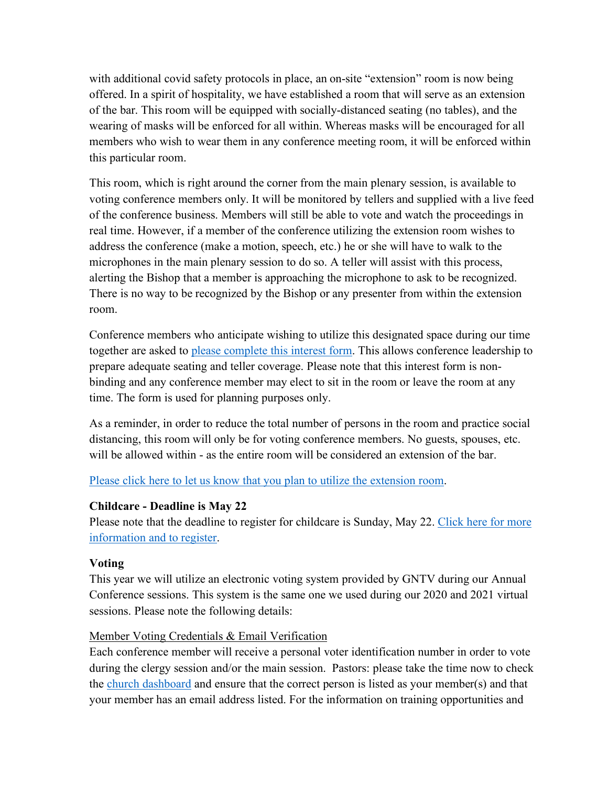with additional covid safety protocols in place, an on-site "extension" room is now being offered. In a spirit of hospitality, we have established a room that will serve as an extension of the bar. This room will be equipped with socially-distanced seating (no tables), and the wearing of masks will be enforced for all within. Whereas masks will be encouraged for all members who wish to wear them in any conference meeting room, it will be enforced within this particular room.

This room, which is right around the corner from the main plenary session, is available to voting conference members only. It will be monitored by tellers and supplied with a live feed of the conference business. Members will still be able to vote and watch the proceedings in real time. However, if a member of the conference utilizing the extension room wishes to address the conference (make a motion, speech, etc.) he or she will have to walk to the microphones in the main plenary session to do so. A teller will assist with this process, alerting the Bishop that a member is approaching the microphone to ask to be recognized. There is no way to be recognized by the Bishop or any presenter from within the extension room.

Conference members who anticipate wishing to utilize this designated space during our time together are asked to please complete this interest form. This allows conference leadership to prepare adequate seating and teller coverage. Please note that this interest form is nonbinding and any conference member may elect to sit in the room or leave the room at any time. The form is used for planning purposes only.

As a reminder, in order to reduce the total number of persons in the room and practice social distancing, this room will only be for voting conference members. No guests, spouses, etc. will be allowed within - as the entire room will be considered an extension of the bar.

#### Please click here to let us know that you plan to utilize the extension room.

### **Childcare - Deadline is May 22**

Please note that the deadline to register for childcare is Sunday, May 22. Click here for more information and to register.

### **Voting**

This year we will utilize an electronic voting system provided by GNTV during our Annual Conference sessions. This system is the same one we used during our 2020 and 2021 virtual sessions. Please note the following details:

### Member Voting Credentials & Email Verification

Each conference member will receive a personal voter identification number in order to vote during the clergy session and/or the main session. Pastors: please take the time now to check the church dashboard and ensure that the correct person is listed as your member(s) and that your member has an email address listed. For the information on training opportunities and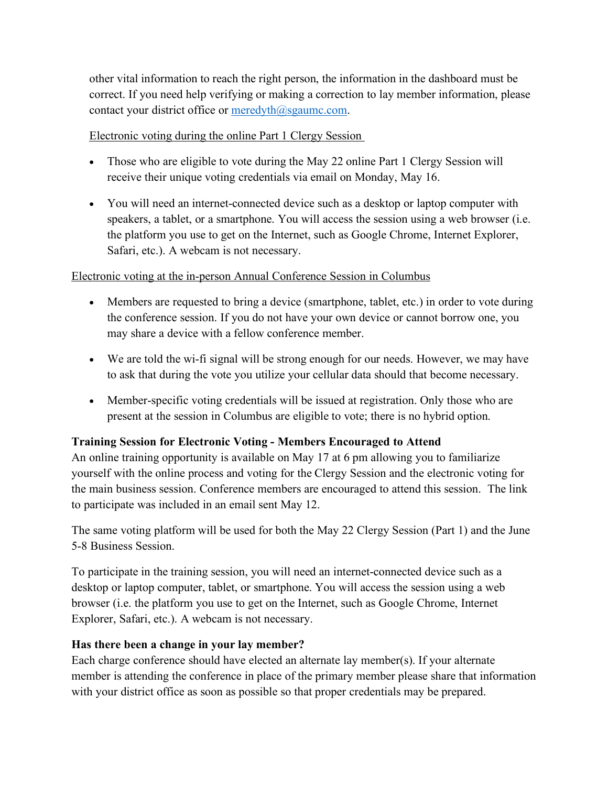other vital information to reach the right person, the information in the dashboard must be correct. If you need help verifying or making a correction to lay member information, please contact your district office or meredyth@sgaumc.com.

## Electronic voting during the online Part 1 Clergy Session

- Those who are eligible to vote during the May 22 online Part 1 Clergy Session will receive their unique voting credentials via email on Monday, May 16.
- You will need an internet-connected device such as a desktop or laptop computer with speakers, a tablet, or a smartphone. You will access the session using a web browser (i.e. the platform you use to get on the Internet, such as Google Chrome, Internet Explorer, Safari, etc.). A webcam is not necessary.

## Electronic voting at the in-person Annual Conference Session in Columbus

- Members are requested to bring a device (smartphone, tablet, etc.) in order to vote during the conference session. If you do not have your own device or cannot borrow one, you may share a device with a fellow conference member.
- We are told the wi-fi signal will be strong enough for our needs. However, we may have to ask that during the vote you utilize your cellular data should that become necessary.
- Member-specific voting credentials will be issued at registration. Only those who are present at the session in Columbus are eligible to vote; there is no hybrid option.

## **Training Session for Electronic Voting - Members Encouraged to Attend**

An online training opportunity is available on May 17 at 6 pm allowing you to familiarize yourself with the online process and voting for the Clergy Session and the electronic voting for the main business session. Conference members are encouraged to attend this session. The link to participate was included in an email sent May 12.

The same voting platform will be used for both the May 22 Clergy Session (Part 1) and the June 5-8 Business Session.

To participate in the training session, you will need an internet-connected device such as a desktop or laptop computer, tablet, or smartphone. You will access the session using a web browser (i.e. the platform you use to get on the Internet, such as Google Chrome, Internet Explorer, Safari, etc.). A webcam is not necessary.

## **Has there been a change in your lay member?**

Each charge conference should have elected an alternate lay member(s). If your alternate member is attending the conference in place of the primary member please share that information with your district office as soon as possible so that proper credentials may be prepared.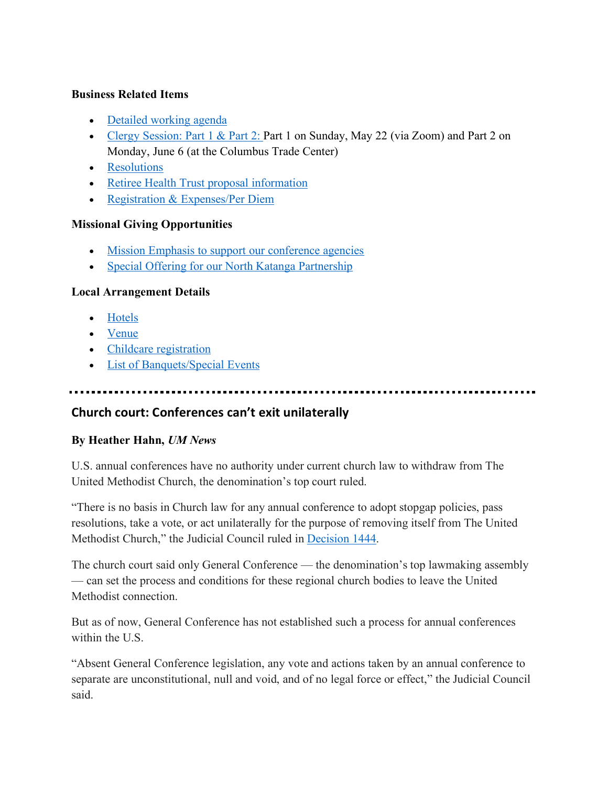#### **Business Related Items**

- Detailed working agenda
- Clergy Session: Part 1 & Part 2: Part 1 on Sunday, May 22 (via Zoom) and Part 2 on Monday, June 6 (at the Columbus Trade Center)
- Resolutions
- Retiree Health Trust proposal information
- Registration & Expenses/Per Diem

### **Missional Giving Opportunities**

- Mission Emphasis to support our conference agencies
- Special Offering for our North Katanga Partnership

### **Local Arrangement Details**

- Hotels
- Venue
- Childcare registration
- List of Banquets/Special Events

## **Church court: Conferences can't exit unilaterally**

### **By Heather Hahn,** *UM News*

U.S. annual conferences have no authority under current church law to withdraw from The United Methodist Church, the denomination's top court ruled.

"There is no basis in Church law for any annual conference to adopt stopgap policies, pass resolutions, take a vote, or act unilaterally for the purpose of removing itself from The United Methodist Church," the Judicial Council ruled in Decision 1444.

The church court said only General Conference — the denomination's top lawmaking assembly — can set the process and conditions for these regional church bodies to leave the United Methodist connection.

But as of now, General Conference has not established such a process for annual conferences within the U.S.

"Absent General Conference legislation, any vote and actions taken by an annual conference to separate are unconstitutional, null and void, and of no legal force or effect," the Judicial Council said.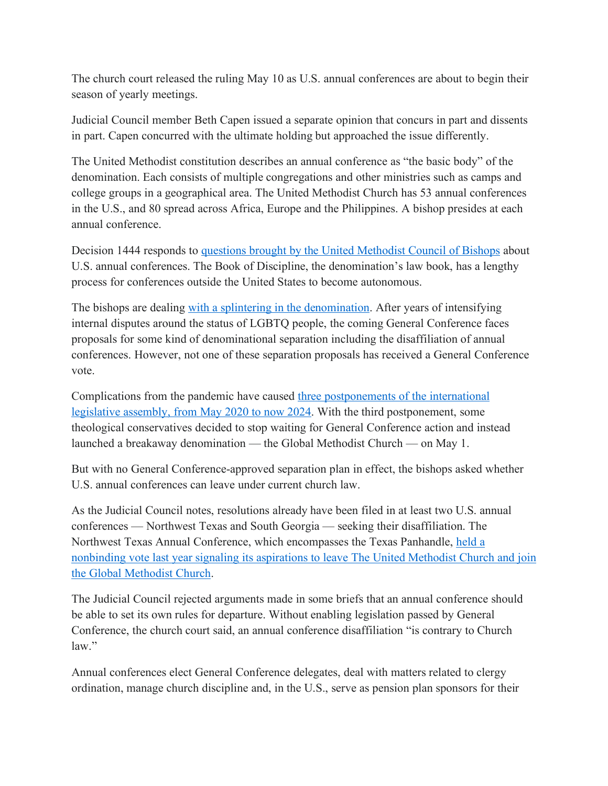The church court released the ruling May 10 as U.S. annual conferences are about to begin their season of yearly meetings.

Judicial Council member Beth Capen issued a separate opinion that concurs in part and dissents in part. Capen concurred with the ultimate holding but approached the issue differently.

The United Methodist constitution describes an annual conference as "the basic body" of the denomination. Each consists of multiple congregations and other ministries such as camps and college groups in a geographical area. The United Methodist Church has 53 annual conferences in the U.S., and 80 spread across Africa, Europe and the Philippines. A bishop presides at each annual conference.

Decision 1444 responds to questions brought by the United Methodist Council of Bishops about U.S. annual conferences. The Book of Discipline, the denomination's law book, has a lengthy process for conferences outside the United States to become autonomous.

The bishops are dealing with a splintering in the denomination. After years of intensifying internal disputes around the status of LGBTQ people, the coming General Conference faces proposals for some kind of denominational separation including the disaffiliation of annual conferences. However, not one of these separation proposals has received a General Conference vote.

Complications from the pandemic have caused three postponements of the international legislative assembly, from May 2020 to now 2024. With the third postponement, some theological conservatives decided to stop waiting for General Conference action and instead launched a breakaway denomination — the Global Methodist Church — on May 1.

But with no General Conference-approved separation plan in effect, the bishops asked whether U.S. annual conferences can leave under current church law.

As the Judicial Council notes, resolutions already have been filed in at least two U.S. annual conferences — Northwest Texas and South Georgia — seeking their disaffiliation. The Northwest Texas Annual Conference, which encompasses the Texas Panhandle, held a nonbinding vote last year signaling its aspirations to leave The United Methodist Church and join the Global Methodist Church.

The Judicial Council rejected arguments made in some briefs that an annual conference should be able to set its own rules for departure. Without enabling legislation passed by General Conference, the church court said, an annual conference disaffiliation "is contrary to Church law."

Annual conferences elect General Conference delegates, deal with matters related to clergy ordination, manage church discipline and, in the U.S., serve as pension plan sponsors for their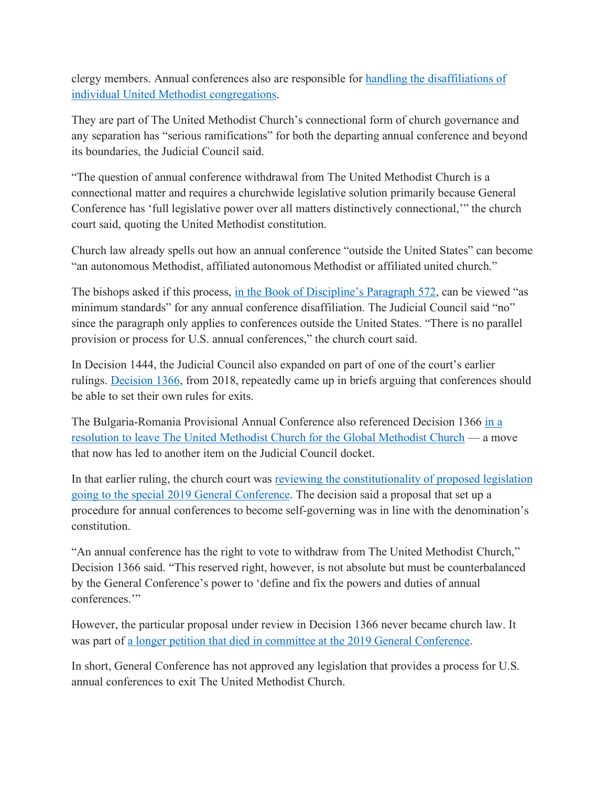clergy members. Annual conferences also are responsible for handling the disaffiliations of individual United Methodist congregations.

They are part of The United Methodist Church's connectional form of church governance and any separation has "serious ramifications" for both the departing annual conference and beyond its boundaries, the Judicial Council said.

"The question of annual conference withdrawal from The United Methodist Church is a connectional matter and requires a churchwide legislative solution primarily because General Conference has 'full legislative power over all matters distinctively connectional,'" the church court said, quoting the United Methodist constitution.

Church law already spells out how an annual conference "outside the United States" can become "an autonomous Methodist, affiliated autonomous Methodist or affiliated united church."

The bishops asked if this process, in the Book of Discipline's Paragraph 572, can be viewed "as minimum standards" for any annual conference disaffiliation. The Judicial Council said "no" since the paragraph only applies to conferences outside the United States. "There is no parallel provision or process for U.S. annual conferences," the church court said.

In Decision 1444, the Judicial Council also expanded on part of one of the court's earlier rulings. Decision 1366, from 2018, repeatedly came up in briefs arguing that conferences should be able to set their own rules for exits.

The Bulgaria-Romania Provisional Annual Conference also referenced Decision 1366 in a resolution to leave The United Methodist Church for the Global Methodist Church — a move that now has led to another item on the Judicial Council docket.

In that earlier ruling, the church court was reviewing the constitutionality of proposed legislation going to the special 2019 General Conference. The decision said a proposal that set up a procedure for annual conferences to become self-governing was in line with the denomination's constitution.

"An annual conference has the right to vote to withdraw from The United Methodist Church," Decision 1366 said. "This reserved right, however, is not absolute but must be counterbalanced by the General Conference's power to 'define and fix the powers and duties of annual conferences."

However, the particular proposal under review in Decision 1366 never became church law. It was part of a longer petition that died in committee at the 2019 General Conference.

In short, General Conference has not approved any legislation that provides a process for U.S. annual conferences to exit The United Methodist Church.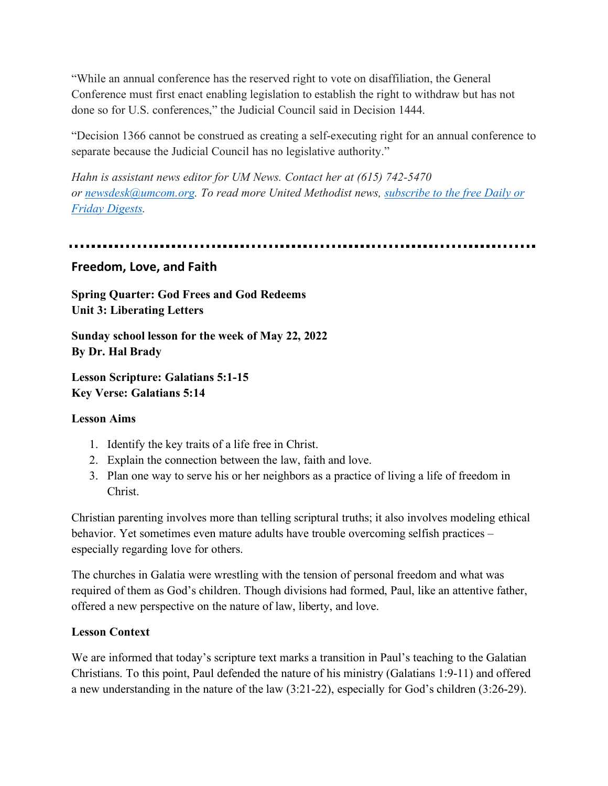"While an annual conference has the reserved right to vote on disaffiliation, the General Conference must first enact enabling legislation to establish the right to withdraw but has not done so for U.S. conferences," the Judicial Council said in Decision 1444.

"Decision 1366 cannot be construed as creating a self-executing right for an annual conference to separate because the Judicial Council has no legislative authority."

*Hahn is assistant news editor for UM News. Contact her at (615) 742-5470 or newsdesk@umcom.org. To read more United Methodist news, subscribe to the free Daily or Friday Digests.*

## **Freedom, Love, and Faith**

**Spring Quarter: God Frees and God Redeems Unit 3: Liberating Letters**

**Sunday school lesson for the week of May 22, 2022 By Dr. Hal Brady**

**Lesson Scripture: Galatians 5:1-15 Key Verse: Galatians 5:14**

### **Lesson Aims**

- 1. Identify the key traits of a life free in Christ.
- 2. Explain the connection between the law, faith and love.
- 3. Plan one way to serve his or her neighbors as a practice of living a life of freedom in Christ.

Christian parenting involves more than telling scriptural truths; it also involves modeling ethical behavior. Yet sometimes even mature adults have trouble overcoming selfish practices – especially regarding love for others.

The churches in Galatia were wrestling with the tension of personal freedom and what was required of them as God's children. Though divisions had formed, Paul, like an attentive father, offered a new perspective on the nature of law, liberty, and love.

### **Lesson Context**

We are informed that today's scripture text marks a transition in Paul's teaching to the Galatian Christians. To this point, Paul defended the nature of his ministry (Galatians 1:9-11) and offered a new understanding in the nature of the law (3:21-22), especially for God's children (3:26-29).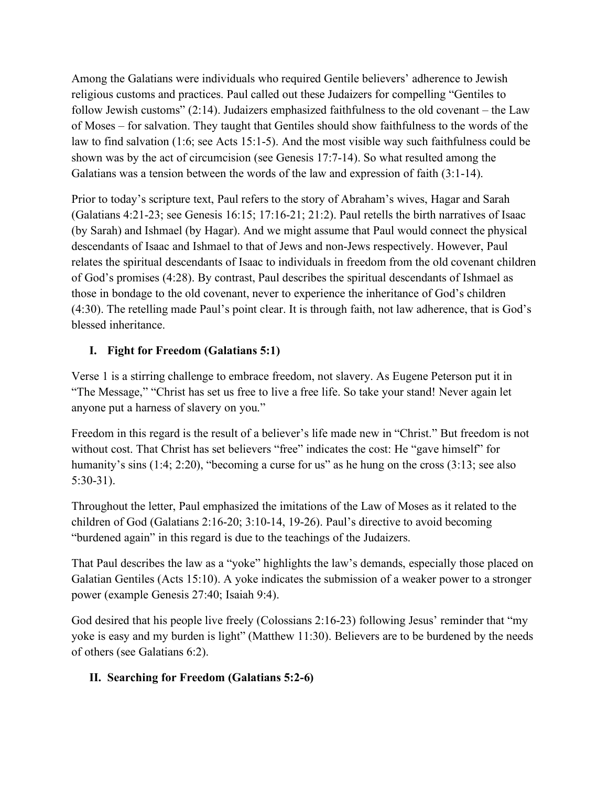Among the Galatians were individuals who required Gentile believers' adherence to Jewish religious customs and practices. Paul called out these Judaizers for compelling "Gentiles to follow Jewish customs"  $(2.14)$ . Judaizers emphasized faithfulness to the old covenant – the Law of Moses – for salvation. They taught that Gentiles should show faithfulness to the words of the law to find salvation (1:6; see Acts 15:1-5). And the most visible way such faithfulness could be shown was by the act of circumcision (see Genesis 17:7-14). So what resulted among the Galatians was a tension between the words of the law and expression of faith (3:1-14).

Prior to today's scripture text, Paul refers to the story of Abraham's wives, Hagar and Sarah (Galatians 4:21-23; see Genesis 16:15; 17:16-21; 21:2). Paul retells the birth narratives of Isaac (by Sarah) and Ishmael (by Hagar). And we might assume that Paul would connect the physical descendants of Isaac and Ishmael to that of Jews and non-Jews respectively. However, Paul relates the spiritual descendants of Isaac to individuals in freedom from the old covenant children of God's promises (4:28). By contrast, Paul describes the spiritual descendants of Ishmael as those in bondage to the old covenant, never to experience the inheritance of God's children (4:30). The retelling made Paul's point clear. It is through faith, not law adherence, that is God's blessed inheritance.

## **I. Fight for Freedom (Galatians 5:1)**

Verse 1 is a stirring challenge to embrace freedom, not slavery. As Eugene Peterson put it in "The Message," "Christ has set us free to live a free life. So take your stand! Never again let anyone put a harness of slavery on you."

Freedom in this regard is the result of a believer's life made new in "Christ." But freedom is not without cost. That Christ has set believers "free" indicates the cost: He "gave himself" for humanity's sins (1:4; 2:20), "becoming a curse for us" as he hung on the cross (3:13; see also 5:30-31).

Throughout the letter, Paul emphasized the imitations of the Law of Moses as it related to the children of God (Galatians 2:16-20; 3:10-14, 19-26). Paul's directive to avoid becoming "burdened again" in this regard is due to the teachings of the Judaizers.

That Paul describes the law as a "yoke" highlights the law's demands, especially those placed on Galatian Gentiles (Acts 15:10). A yoke indicates the submission of a weaker power to a stronger power (example Genesis 27:40; Isaiah 9:4).

God desired that his people live freely (Colossians 2:16-23) following Jesus' reminder that "my yoke is easy and my burden is light" (Matthew 11:30). Believers are to be burdened by the needs of others (see Galatians 6:2).

## **II. Searching for Freedom (Galatians 5:2-6)**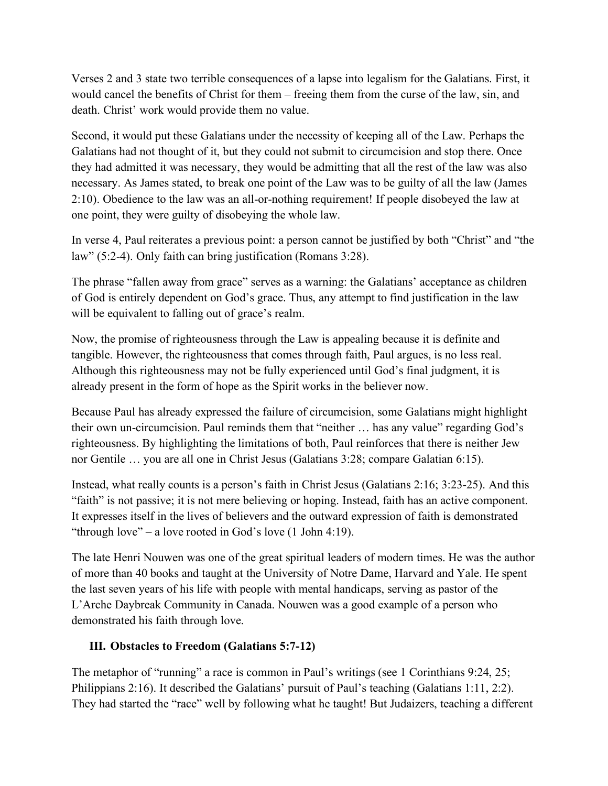Verses 2 and 3 state two terrible consequences of a lapse into legalism for the Galatians. First, it would cancel the benefits of Christ for them – freeing them from the curse of the law, sin, and death. Christ' work would provide them no value.

Second, it would put these Galatians under the necessity of keeping all of the Law. Perhaps the Galatians had not thought of it, but they could not submit to circumcision and stop there. Once they had admitted it was necessary, they would be admitting that all the rest of the law was also necessary. As James stated, to break one point of the Law was to be guilty of all the law (James 2:10). Obedience to the law was an all-or-nothing requirement! If people disobeyed the law at one point, they were guilty of disobeying the whole law.

In verse 4, Paul reiterates a previous point: a person cannot be justified by both "Christ" and "the law" (5:2-4). Only faith can bring justification (Romans 3:28).

The phrase "fallen away from grace" serves as a warning: the Galatians' acceptance as children of God is entirely dependent on God's grace. Thus, any attempt to find justification in the law will be equivalent to falling out of grace's realm.

Now, the promise of righteousness through the Law is appealing because it is definite and tangible. However, the righteousness that comes through faith, Paul argues, is no less real. Although this righteousness may not be fully experienced until God's final judgment, it is already present in the form of hope as the Spirit works in the believer now.

Because Paul has already expressed the failure of circumcision, some Galatians might highlight their own un-circumcision. Paul reminds them that "neither … has any value" regarding God's righteousness. By highlighting the limitations of both, Paul reinforces that there is neither Jew nor Gentile … you are all one in Christ Jesus (Galatians 3:28; compare Galatian 6:15).

Instead, what really counts is a person's faith in Christ Jesus (Galatians 2:16; 3:23-25). And this "faith" is not passive; it is not mere believing or hoping. Instead, faith has an active component. It expresses itself in the lives of believers and the outward expression of faith is demonstrated "through love" – a love rooted in God's love  $(1$  John 4:19).

The late Henri Nouwen was one of the great spiritual leaders of modern times. He was the author of more than 40 books and taught at the University of Notre Dame, Harvard and Yale. He spent the last seven years of his life with people with mental handicaps, serving as pastor of the L'Arche Daybreak Community in Canada. Nouwen was a good example of a person who demonstrated his faith through love.

## **III. Obstacles to Freedom (Galatians 5:7-12)**

The metaphor of "running" a race is common in Paul's writings (see 1 Corinthians 9:24, 25; Philippians 2:16). It described the Galatians' pursuit of Paul's teaching (Galatians 1:11, 2:2). They had started the "race" well by following what he taught! But Judaizers, teaching a different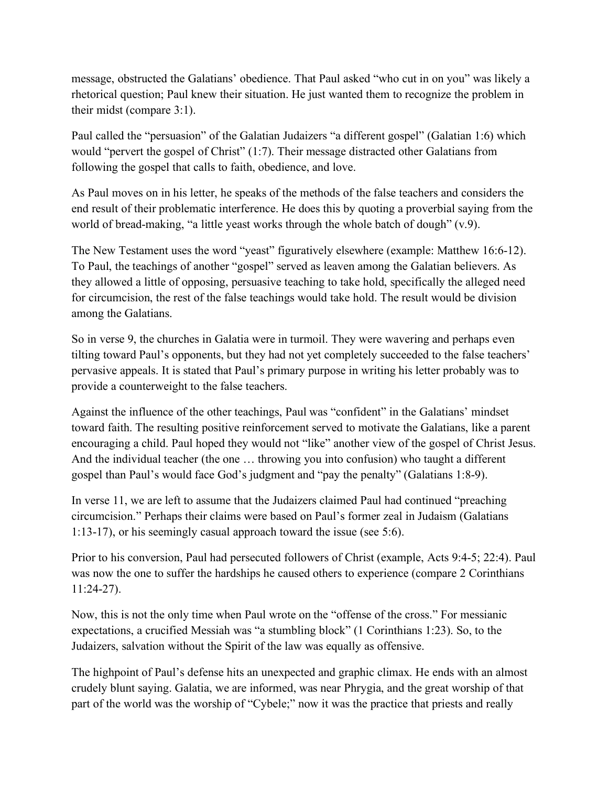message, obstructed the Galatians' obedience. That Paul asked "who cut in on you" was likely a rhetorical question; Paul knew their situation. He just wanted them to recognize the problem in their midst (compare 3:1).

Paul called the "persuasion" of the Galatian Judaizers "a different gospel" (Galatian 1:6) which would "pervert the gospel of Christ" (1:7). Their message distracted other Galatians from following the gospel that calls to faith, obedience, and love.

As Paul moves on in his letter, he speaks of the methods of the false teachers and considers the end result of their problematic interference. He does this by quoting a proverbial saying from the world of bread-making, "a little yeast works through the whole batch of dough" (v.9).

The New Testament uses the word "yeast" figuratively elsewhere (example: Matthew 16:6-12). To Paul, the teachings of another "gospel" served as leaven among the Galatian believers. As they allowed a little of opposing, persuasive teaching to take hold, specifically the alleged need for circumcision, the rest of the false teachings would take hold. The result would be division among the Galatians.

So in verse 9, the churches in Galatia were in turmoil. They were wavering and perhaps even tilting toward Paul's opponents, but they had not yet completely succeeded to the false teachers' pervasive appeals. It is stated that Paul's primary purpose in writing his letter probably was to provide a counterweight to the false teachers.

Against the influence of the other teachings, Paul was "confident" in the Galatians' mindset toward faith. The resulting positive reinforcement served to motivate the Galatians, like a parent encouraging a child. Paul hoped they would not "like" another view of the gospel of Christ Jesus. And the individual teacher (the one … throwing you into confusion) who taught a different gospel than Paul's would face God's judgment and "pay the penalty" (Galatians 1:8-9).

In verse 11, we are left to assume that the Judaizers claimed Paul had continued "preaching circumcision." Perhaps their claims were based on Paul's former zeal in Judaism (Galatians 1:13-17), or his seemingly casual approach toward the issue (see 5:6).

Prior to his conversion, Paul had persecuted followers of Christ (example, Acts 9:4-5; 22:4). Paul was now the one to suffer the hardships he caused others to experience (compare 2 Corinthians 11:24-27).

Now, this is not the only time when Paul wrote on the "offense of the cross." For messianic expectations, a crucified Messiah was "a stumbling block" (1 Corinthians 1:23). So, to the Judaizers, salvation without the Spirit of the law was equally as offensive.

The highpoint of Paul's defense hits an unexpected and graphic climax. He ends with an almost crudely blunt saying. Galatia, we are informed, was near Phrygia, and the great worship of that part of the world was the worship of "Cybele;" now it was the practice that priests and really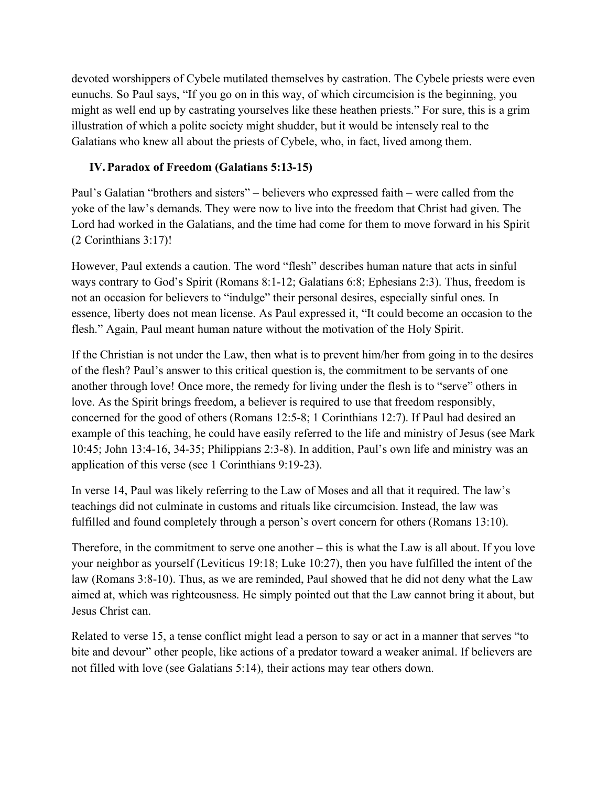devoted worshippers of Cybele mutilated themselves by castration. The Cybele priests were even eunuchs. So Paul says, "If you go on in this way, of which circumcision is the beginning, you might as well end up by castrating yourselves like these heathen priests." For sure, this is a grim illustration of which a polite society might shudder, but it would be intensely real to the Galatians who knew all about the priests of Cybele, who, in fact, lived among them.

## **IV.Paradox of Freedom (Galatians 5:13-15)**

Paul's Galatian "brothers and sisters" – believers who expressed faith – were called from the yoke of the law's demands. They were now to live into the freedom that Christ had given. The Lord had worked in the Galatians, and the time had come for them to move forward in his Spirit (2 Corinthians 3:17)!

However, Paul extends a caution. The word "flesh" describes human nature that acts in sinful ways contrary to God's Spirit (Romans 8:1-12; Galatians 6:8; Ephesians 2:3). Thus, freedom is not an occasion for believers to "indulge" their personal desires, especially sinful ones. In essence, liberty does not mean license. As Paul expressed it, "It could become an occasion to the flesh." Again, Paul meant human nature without the motivation of the Holy Spirit.

If the Christian is not under the Law, then what is to prevent him/her from going in to the desires of the flesh? Paul's answer to this critical question is, the commitment to be servants of one another through love! Once more, the remedy for living under the flesh is to "serve" others in love. As the Spirit brings freedom, a believer is required to use that freedom responsibly, concerned for the good of others (Romans 12:5-8; 1 Corinthians 12:7). If Paul had desired an example of this teaching, he could have easily referred to the life and ministry of Jesus (see Mark 10:45; John 13:4-16, 34-35; Philippians 2:3-8). In addition, Paul's own life and ministry was an application of this verse (see 1 Corinthians 9:19-23).

In verse 14, Paul was likely referring to the Law of Moses and all that it required. The law's teachings did not culminate in customs and rituals like circumcision. Instead, the law was fulfilled and found completely through a person's overt concern for others (Romans 13:10).

Therefore, in the commitment to serve one another – this is what the Law is all about. If you love your neighbor as yourself (Leviticus 19:18; Luke 10:27), then you have fulfilled the intent of the law (Romans 3:8-10). Thus, as we are reminded, Paul showed that he did not deny what the Law aimed at, which was righteousness. He simply pointed out that the Law cannot bring it about, but Jesus Christ can.

Related to verse 15, a tense conflict might lead a person to say or act in a manner that serves "to bite and devour" other people, like actions of a predator toward a weaker animal. If believers are not filled with love (see Galatians 5:14), their actions may tear others down.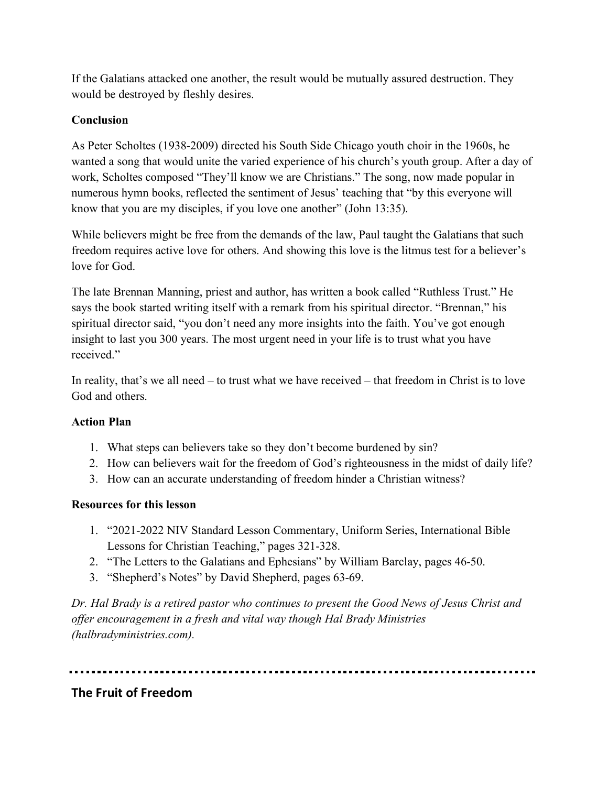If the Galatians attacked one another, the result would be mutually assured destruction. They would be destroyed by fleshly desires.

## **Conclusion**

As Peter Scholtes (1938-2009) directed his South Side Chicago youth choir in the 1960s, he wanted a song that would unite the varied experience of his church's youth group. After a day of work, Scholtes composed "They'll know we are Christians." The song, now made popular in numerous hymn books, reflected the sentiment of Jesus' teaching that "by this everyone will know that you are my disciples, if you love one another" (John 13:35).

While believers might be free from the demands of the law, Paul taught the Galatians that such freedom requires active love for others. And showing this love is the litmus test for a believer's love for God.

The late Brennan Manning, priest and author, has written a book called "Ruthless Trust." He says the book started writing itself with a remark from his spiritual director. "Brennan," his spiritual director said, "you don't need any more insights into the faith. You've got enough insight to last you 300 years. The most urgent need in your life is to trust what you have received."

In reality, that's we all need – to trust what we have received – that freedom in Christ is to love God and others.

## **Action Plan**

- 1. What steps can believers take so they don't become burdened by sin?
- 2. How can believers wait for the freedom of God's righteousness in the midst of daily life?
- 3. How can an accurate understanding of freedom hinder a Christian witness?

## **Resources for this lesson**

- 1. "2021-2022 NIV Standard Lesson Commentary, Uniform Series, International Bible Lessons for Christian Teaching," pages 321-328.
- 2. "The Letters to the Galatians and Ephesians" by William Barclay, pages 46-50.
- 3. "Shepherd's Notes" by David Shepherd, pages 63-69.

*Dr. Hal Brady is a retired pastor who continues to present the Good News of Jesus Christ and offer encouragement in a fresh and vital way though Hal Brady Ministries (halbradyministries.com).*

# **The Fruit of Freedom**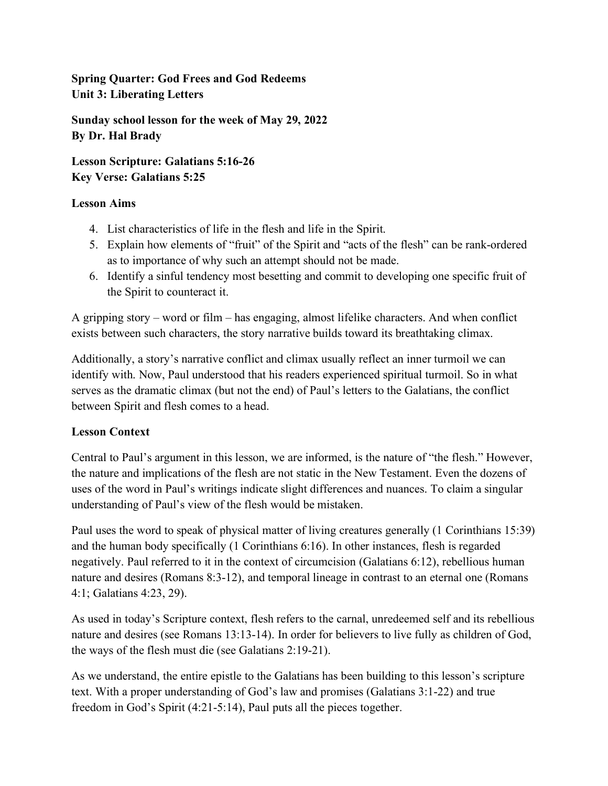**Spring Quarter: God Frees and God Redeems Unit 3: Liberating Letters**

**Sunday school lesson for the week of May 29, 2022 By Dr. Hal Brady**

**Lesson Scripture: Galatians 5:16-26 Key Verse: Galatians 5:25**

## **Lesson Aims**

- 4. List characteristics of life in the flesh and life in the Spirit.
- 5. Explain how elements of "fruit" of the Spirit and "acts of the flesh" can be rank-ordered as to importance of why such an attempt should not be made.
- 6. Identify a sinful tendency most besetting and commit to developing one specific fruit of the Spirit to counteract it.

A gripping story – word or film – has engaging, almost lifelike characters. And when conflict exists between such characters, the story narrative builds toward its breathtaking climax.

Additionally, a story's narrative conflict and climax usually reflect an inner turmoil we can identify with. Now, Paul understood that his readers experienced spiritual turmoil. So in what serves as the dramatic climax (but not the end) of Paul's letters to the Galatians, the conflict between Spirit and flesh comes to a head.

### **Lesson Context**

Central to Paul's argument in this lesson, we are informed, is the nature of "the flesh." However, the nature and implications of the flesh are not static in the New Testament. Even the dozens of uses of the word in Paul's writings indicate slight differences and nuances. To claim a singular understanding of Paul's view of the flesh would be mistaken.

Paul uses the word to speak of physical matter of living creatures generally (1 Corinthians 15:39) and the human body specifically (1 Corinthians 6:16). In other instances, flesh is regarded negatively. Paul referred to it in the context of circumcision (Galatians 6:12), rebellious human nature and desires (Romans 8:3-12), and temporal lineage in contrast to an eternal one (Romans 4:1; Galatians 4:23, 29).

As used in today's Scripture context, flesh refers to the carnal, unredeemed self and its rebellious nature and desires (see Romans 13:13-14). In order for believers to live fully as children of God, the ways of the flesh must die (see Galatians 2:19-21).

As we understand, the entire epistle to the Galatians has been building to this lesson's scripture text. With a proper understanding of God's law and promises (Galatians 3:1-22) and true freedom in God's Spirit (4:21-5:14), Paul puts all the pieces together.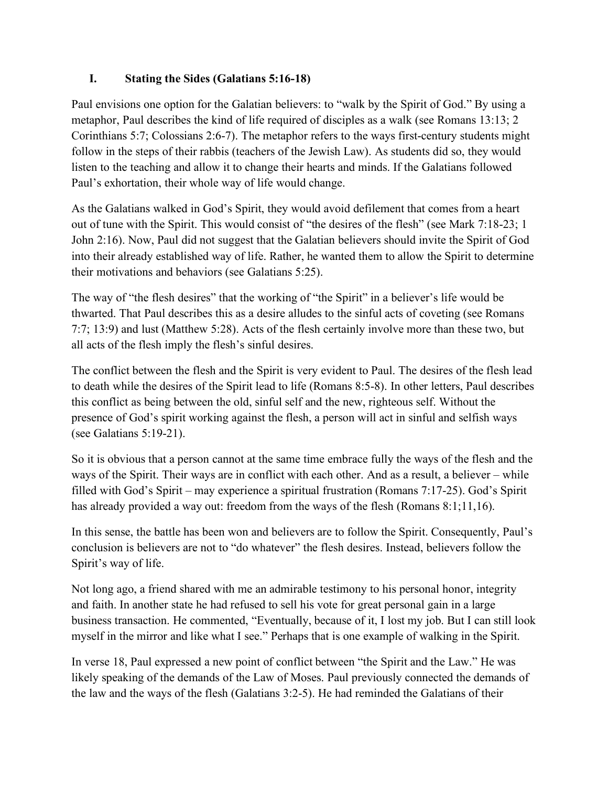## **I. Stating the Sides (Galatians 5:16-18)**

Paul envisions one option for the Galatian believers: to "walk by the Spirit of God." By using a metaphor, Paul describes the kind of life required of disciples as a walk (see Romans 13:13; 2 Corinthians 5:7; Colossians 2:6-7). The metaphor refers to the ways first-century students might follow in the steps of their rabbis (teachers of the Jewish Law). As students did so, they would listen to the teaching and allow it to change their hearts and minds. If the Galatians followed Paul's exhortation, their whole way of life would change.

As the Galatians walked in God's Spirit, they would avoid defilement that comes from a heart out of tune with the Spirit. This would consist of "the desires of the flesh" (see Mark 7:18-23; 1 John 2:16). Now, Paul did not suggest that the Galatian believers should invite the Spirit of God into their already established way of life. Rather, he wanted them to allow the Spirit to determine their motivations and behaviors (see Galatians 5:25).

The way of "the flesh desires" that the working of "the Spirit" in a believer's life would be thwarted. That Paul describes this as a desire alludes to the sinful acts of coveting (see Romans 7:7; 13:9) and lust (Matthew 5:28). Acts of the flesh certainly involve more than these two, but all acts of the flesh imply the flesh's sinful desires.

The conflict between the flesh and the Spirit is very evident to Paul. The desires of the flesh lead to death while the desires of the Spirit lead to life (Romans 8:5-8). In other letters, Paul describes this conflict as being between the old, sinful self and the new, righteous self. Without the presence of God's spirit working against the flesh, a person will act in sinful and selfish ways (see Galatians 5:19-21).

So it is obvious that a person cannot at the same time embrace fully the ways of the flesh and the ways of the Spirit. Their ways are in conflict with each other. And as a result, a believer – while filled with God's Spirit – may experience a spiritual frustration (Romans 7:17-25). God's Spirit has already provided a way out: freedom from the ways of the flesh (Romans 8:1;11,16).

In this sense, the battle has been won and believers are to follow the Spirit. Consequently, Paul's conclusion is believers are not to "do whatever" the flesh desires. Instead, believers follow the Spirit's way of life.

Not long ago, a friend shared with me an admirable testimony to his personal honor, integrity and faith. In another state he had refused to sell his vote for great personal gain in a large business transaction. He commented, "Eventually, because of it, I lost my job. But I can still look myself in the mirror and like what I see." Perhaps that is one example of walking in the Spirit.

In verse 18, Paul expressed a new point of conflict between "the Spirit and the Law." He was likely speaking of the demands of the Law of Moses. Paul previously connected the demands of the law and the ways of the flesh (Galatians 3:2-5). He had reminded the Galatians of their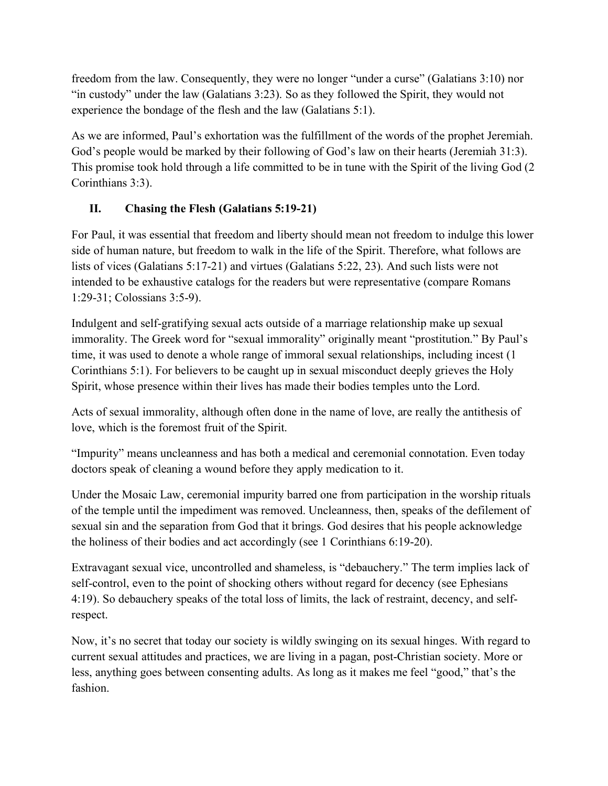freedom from the law. Consequently, they were no longer "under a curse" (Galatians 3:10) nor "in custody" under the law (Galatians 3:23). So as they followed the Spirit, they would not experience the bondage of the flesh and the law (Galatians 5:1).

As we are informed, Paul's exhortation was the fulfillment of the words of the prophet Jeremiah. God's people would be marked by their following of God's law on their hearts (Jeremiah 31:3). This promise took hold through a life committed to be in tune with the Spirit of the living God (2 Corinthians 3:3).

## **II. Chasing the Flesh (Galatians 5:19-21)**

For Paul, it was essential that freedom and liberty should mean not freedom to indulge this lower side of human nature, but freedom to walk in the life of the Spirit. Therefore, what follows are lists of vices (Galatians 5:17-21) and virtues (Galatians 5:22, 23). And such lists were not intended to be exhaustive catalogs for the readers but were representative (compare Romans 1:29-31; Colossians 3:5-9).

Indulgent and self-gratifying sexual acts outside of a marriage relationship make up sexual immorality. The Greek word for "sexual immorality" originally meant "prostitution." By Paul's time, it was used to denote a whole range of immoral sexual relationships, including incest (1 Corinthians 5:1). For believers to be caught up in sexual misconduct deeply grieves the Holy Spirit, whose presence within their lives has made their bodies temples unto the Lord.

Acts of sexual immorality, although often done in the name of love, are really the antithesis of love, which is the foremost fruit of the Spirit.

"Impurity" means uncleanness and has both a medical and ceremonial connotation. Even today doctors speak of cleaning a wound before they apply medication to it.

Under the Mosaic Law, ceremonial impurity barred one from participation in the worship rituals of the temple until the impediment was removed. Uncleanness, then, speaks of the defilement of sexual sin and the separation from God that it brings. God desires that his people acknowledge the holiness of their bodies and act accordingly (see 1 Corinthians 6:19-20).

Extravagant sexual vice, uncontrolled and shameless, is "debauchery." The term implies lack of self-control, even to the point of shocking others without regard for decency (see Ephesians 4:19). So debauchery speaks of the total loss of limits, the lack of restraint, decency, and selfrespect.

Now, it's no secret that today our society is wildly swinging on its sexual hinges. With regard to current sexual attitudes and practices, we are living in a pagan, post-Christian society. More or less, anything goes between consenting adults. As long as it makes me feel "good," that's the fashion.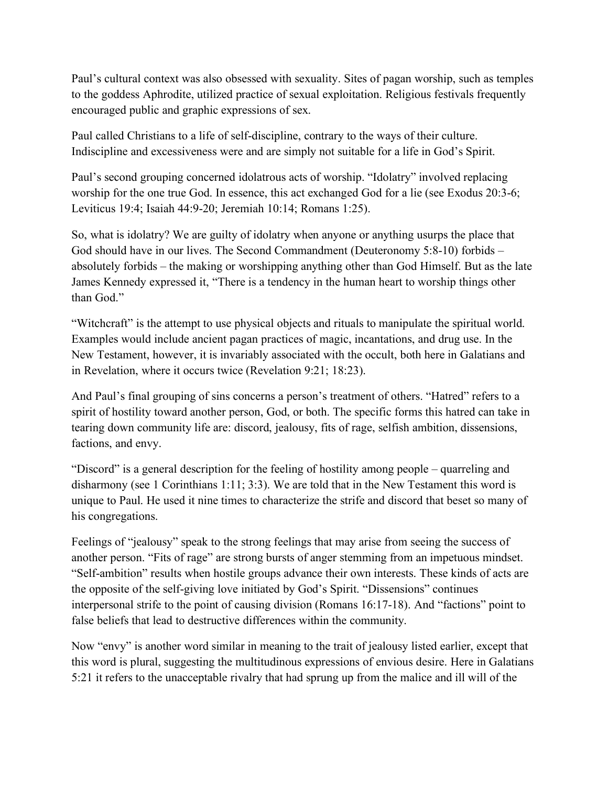Paul's cultural context was also obsessed with sexuality. Sites of pagan worship, such as temples to the goddess Aphrodite, utilized practice of sexual exploitation. Religious festivals frequently encouraged public and graphic expressions of sex.

Paul called Christians to a life of self-discipline, contrary to the ways of their culture. Indiscipline and excessiveness were and are simply not suitable for a life in God's Spirit.

Paul's second grouping concerned idolatrous acts of worship. "Idolatry" involved replacing worship for the one true God. In essence, this act exchanged God for a lie (see Exodus 20:3-6; Leviticus 19:4; Isaiah 44:9-20; Jeremiah 10:14; Romans 1:25).

So, what is idolatry? We are guilty of idolatry when anyone or anything usurps the place that God should have in our lives. The Second Commandment (Deuteronomy 5:8-10) forbids – absolutely forbids – the making or worshipping anything other than God Himself. But as the late James Kennedy expressed it, "There is a tendency in the human heart to worship things other than God."

"Witchcraft" is the attempt to use physical objects and rituals to manipulate the spiritual world. Examples would include ancient pagan practices of magic, incantations, and drug use. In the New Testament, however, it is invariably associated with the occult, both here in Galatians and in Revelation, where it occurs twice (Revelation 9:21; 18:23).

And Paul's final grouping of sins concerns a person's treatment of others. "Hatred" refers to a spirit of hostility toward another person, God, or both. The specific forms this hatred can take in tearing down community life are: discord, jealousy, fits of rage, selfish ambition, dissensions, factions, and envy.

"Discord" is a general description for the feeling of hostility among people – quarreling and disharmony (see 1 Corinthians 1:11; 3:3). We are told that in the New Testament this word is unique to Paul. He used it nine times to characterize the strife and discord that beset so many of his congregations.

Feelings of "jealousy" speak to the strong feelings that may arise from seeing the success of another person. "Fits of rage" are strong bursts of anger stemming from an impetuous mindset. "Self-ambition" results when hostile groups advance their own interests. These kinds of acts are the opposite of the self-giving love initiated by God's Spirit. "Dissensions" continues interpersonal strife to the point of causing division (Romans 16:17-18). And "factions" point to false beliefs that lead to destructive differences within the community.

Now "envy" is another word similar in meaning to the trait of jealousy listed earlier, except that this word is plural, suggesting the multitudinous expressions of envious desire. Here in Galatians 5:21 it refers to the unacceptable rivalry that had sprung up from the malice and ill will of the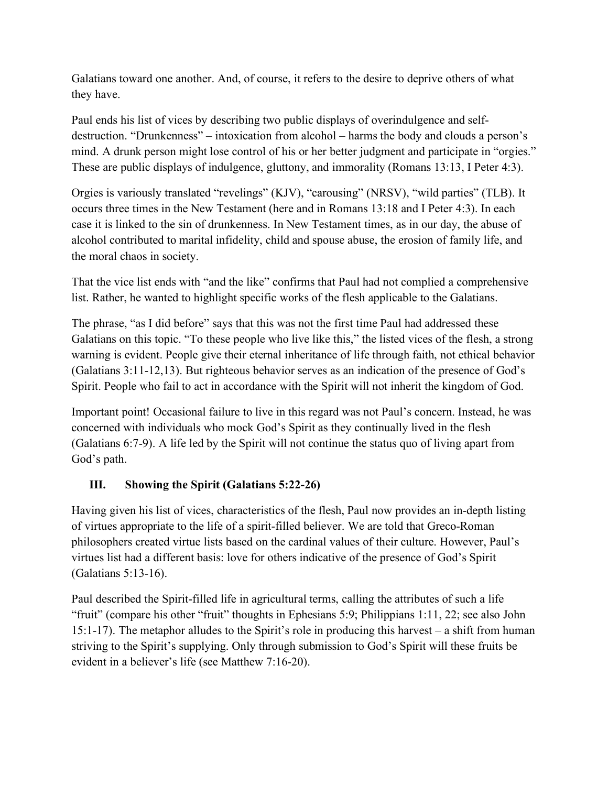Galatians toward one another. And, of course, it refers to the desire to deprive others of what they have.

Paul ends his list of vices by describing two public displays of overindulgence and selfdestruction. "Drunkenness" – intoxication from alcohol – harms the body and clouds a person's mind. A drunk person might lose control of his or her better judgment and participate in "orgies." These are public displays of indulgence, gluttony, and immorality (Romans 13:13, I Peter 4:3).

Orgies is variously translated "revelings" (KJV), "carousing" (NRSV), "wild parties" (TLB). It occurs three times in the New Testament (here and in Romans 13:18 and I Peter 4:3). In each case it is linked to the sin of drunkenness. In New Testament times, as in our day, the abuse of alcohol contributed to marital infidelity, child and spouse abuse, the erosion of family life, and the moral chaos in society.

That the vice list ends with "and the like" confirms that Paul had not complied a comprehensive list. Rather, he wanted to highlight specific works of the flesh applicable to the Galatians.

The phrase, "as I did before" says that this was not the first time Paul had addressed these Galatians on this topic. "To these people who live like this," the listed vices of the flesh, a strong warning is evident. People give their eternal inheritance of life through faith, not ethical behavior (Galatians 3:11-12,13). But righteous behavior serves as an indication of the presence of God's Spirit. People who fail to act in accordance with the Spirit will not inherit the kingdom of God.

Important point! Occasional failure to live in this regard was not Paul's concern. Instead, he was concerned with individuals who mock God's Spirit as they continually lived in the flesh (Galatians 6:7-9). A life led by the Spirit will not continue the status quo of living apart from God's path.

## **III. Showing the Spirit (Galatians 5:22-26)**

Having given his list of vices, characteristics of the flesh, Paul now provides an in-depth listing of virtues appropriate to the life of a spirit-filled believer. We are told that Greco-Roman philosophers created virtue lists based on the cardinal values of their culture. However, Paul's virtues list had a different basis: love for others indicative of the presence of God's Spirit (Galatians 5:13-16).

Paul described the Spirit-filled life in agricultural terms, calling the attributes of such a life "fruit" (compare his other "fruit" thoughts in Ephesians 5:9; Philippians 1:11, 22; see also John 15:1-17). The metaphor alludes to the Spirit's role in producing this harvest – a shift from human striving to the Spirit's supplying. Only through submission to God's Spirit will these fruits be evident in a believer's life (see Matthew 7:16-20).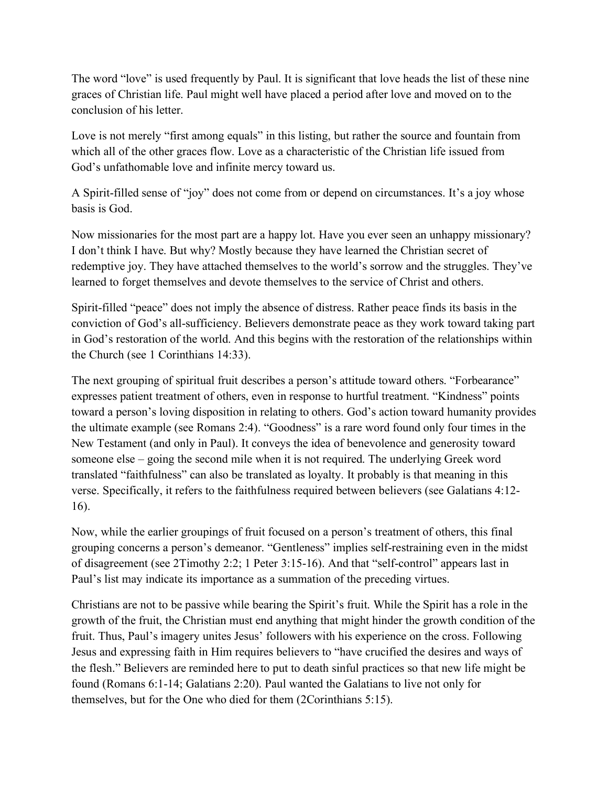The word "love" is used frequently by Paul. It is significant that love heads the list of these nine graces of Christian life. Paul might well have placed a period after love and moved on to the conclusion of his letter.

Love is not merely "first among equals" in this listing, but rather the source and fountain from which all of the other graces flow. Love as a characteristic of the Christian life issued from God's unfathomable love and infinite mercy toward us.

A Spirit-filled sense of "joy" does not come from or depend on circumstances. It's a joy whose basis is God.

Now missionaries for the most part are a happy lot. Have you ever seen an unhappy missionary? I don't think I have. But why? Mostly because they have learned the Christian secret of redemptive joy. They have attached themselves to the world's sorrow and the struggles. They've learned to forget themselves and devote themselves to the service of Christ and others.

Spirit-filled "peace" does not imply the absence of distress. Rather peace finds its basis in the conviction of God's all-sufficiency. Believers demonstrate peace as they work toward taking part in God's restoration of the world. And this begins with the restoration of the relationships within the Church (see 1 Corinthians 14:33).

The next grouping of spiritual fruit describes a person's attitude toward others. "Forbearance" expresses patient treatment of others, even in response to hurtful treatment. "Kindness" points toward a person's loving disposition in relating to others. God's action toward humanity provides the ultimate example (see Romans 2:4). "Goodness" is a rare word found only four times in the New Testament (and only in Paul). It conveys the idea of benevolence and generosity toward someone else – going the second mile when it is not required. The underlying Greek word translated "faithfulness" can also be translated as loyalty. It probably is that meaning in this verse. Specifically, it refers to the faithfulness required between believers (see Galatians 4:12- 16).

Now, while the earlier groupings of fruit focused on a person's treatment of others, this final grouping concerns a person's demeanor. "Gentleness" implies self-restraining even in the midst of disagreement (see 2Timothy 2:2; 1 Peter 3:15-16). And that "self-control" appears last in Paul's list may indicate its importance as a summation of the preceding virtues.

Christians are not to be passive while bearing the Spirit's fruit. While the Spirit has a role in the growth of the fruit, the Christian must end anything that might hinder the growth condition of the fruit. Thus, Paul's imagery unites Jesus' followers with his experience on the cross. Following Jesus and expressing faith in Him requires believers to "have crucified the desires and ways of the flesh." Believers are reminded here to put to death sinful practices so that new life might be found (Romans 6:1-14; Galatians 2:20). Paul wanted the Galatians to live not only for themselves, but for the One who died for them (2Corinthians 5:15).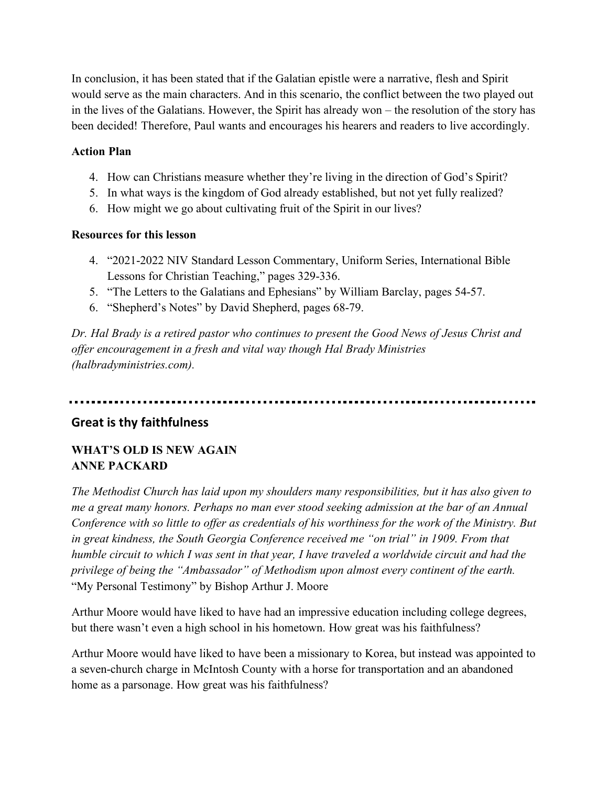In conclusion, it has been stated that if the Galatian epistle were a narrative, flesh and Spirit would serve as the main characters. And in this scenario, the conflict between the two played out in the lives of the Galatians. However, the Spirit has already won – the resolution of the story has been decided! Therefore, Paul wants and encourages his hearers and readers to live accordingly.

### **Action Plan**

- 4. How can Christians measure whether they're living in the direction of God's Spirit?
- 5. In what ways is the kingdom of God already established, but not yet fully realized?
- 6. How might we go about cultivating fruit of the Spirit in our lives?

### **Resources for this lesson**

- 4. "2021-2022 NIV Standard Lesson Commentary, Uniform Series, International Bible Lessons for Christian Teaching," pages 329-336.
- 5. "The Letters to the Galatians and Ephesians" by William Barclay, pages 54-57.
- 6. "Shepherd's Notes" by David Shepherd, pages 68-79.

*Dr. Hal Brady is a retired pastor who continues to present the Good News of Jesus Christ and offer encouragement in a fresh and vital way though Hal Brady Ministries (halbradyministries.com).*

## **Great is thy faithfulness**

## **WHAT'S OLD IS NEW AGAIN ANNE PACKARD**

*The Methodist Church has laid upon my shoulders many responsibilities, but it has also given to me a great many honors. Perhaps no man ever stood seeking admission at the bar of an Annual Conference with so little to offer as credentials of his worthiness for the work of the Ministry. But in great kindness, the South Georgia Conference received me "on trial" in 1909. From that humble circuit to which I was sent in that year, I have traveled a worldwide circuit and had the privilege of being the "Ambassador" of Methodism upon almost every continent of the earth.* "My Personal Testimony" by Bishop Arthur J. Moore

Arthur Moore would have liked to have had an impressive education including college degrees, but there wasn't even a high school in his hometown. How great was his faithfulness?

Arthur Moore would have liked to have been a missionary to Korea, but instead was appointed to a seven-church charge in McIntosh County with a horse for transportation and an abandoned home as a parsonage. How great was his faithfulness?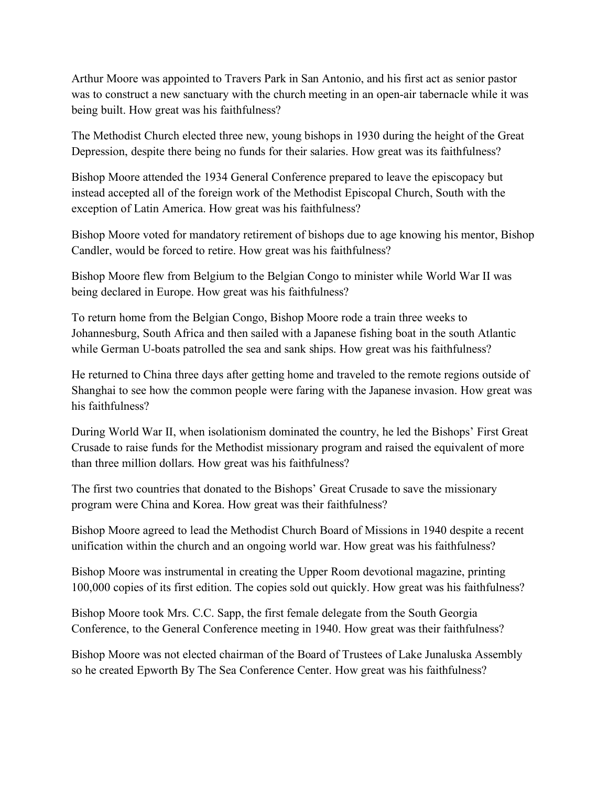Arthur Moore was appointed to Travers Park in San Antonio, and his first act as senior pastor was to construct a new sanctuary with the church meeting in an open-air tabernacle while it was being built. How great was his faithfulness?

The Methodist Church elected three new, young bishops in 1930 during the height of the Great Depression, despite there being no funds for their salaries. How great was its faithfulness?

Bishop Moore attended the 1934 General Conference prepared to leave the episcopacy but instead accepted all of the foreign work of the Methodist Episcopal Church, South with the exception of Latin America. How great was his faithfulness?

Bishop Moore voted for mandatory retirement of bishops due to age knowing his mentor, Bishop Candler, would be forced to retire. How great was his faithfulness?

Bishop Moore flew from Belgium to the Belgian Congo to minister while World War II was being declared in Europe. How great was his faithfulness?

To return home from the Belgian Congo, Bishop Moore rode a train three weeks to Johannesburg, South Africa and then sailed with a Japanese fishing boat in the south Atlantic while German U-boats patrolled the sea and sank ships. How great was his faithfulness?

He returned to China three days after getting home and traveled to the remote regions outside of Shanghai to see how the common people were faring with the Japanese invasion. How great was his faithfulness?

During World War II, when isolationism dominated the country, he led the Bishops' First Great Crusade to raise funds for the Methodist missionary program and raised the equivalent of more than three million dollars. How great was his faithfulness?

The first two countries that donated to the Bishops' Great Crusade to save the missionary program were China and Korea. How great was their faithfulness?

Bishop Moore agreed to lead the Methodist Church Board of Missions in 1940 despite a recent unification within the church and an ongoing world war. How great was his faithfulness?

Bishop Moore was instrumental in creating the Upper Room devotional magazine, printing 100,000 copies of its first edition. The copies sold out quickly. How great was his faithfulness?

Bishop Moore took Mrs. C.C. Sapp, the first female delegate from the South Georgia Conference, to the General Conference meeting in 1940. How great was their faithfulness?

Bishop Moore was not elected chairman of the Board of Trustees of Lake Junaluska Assembly so he created Epworth By The Sea Conference Center. How great was his faithfulness?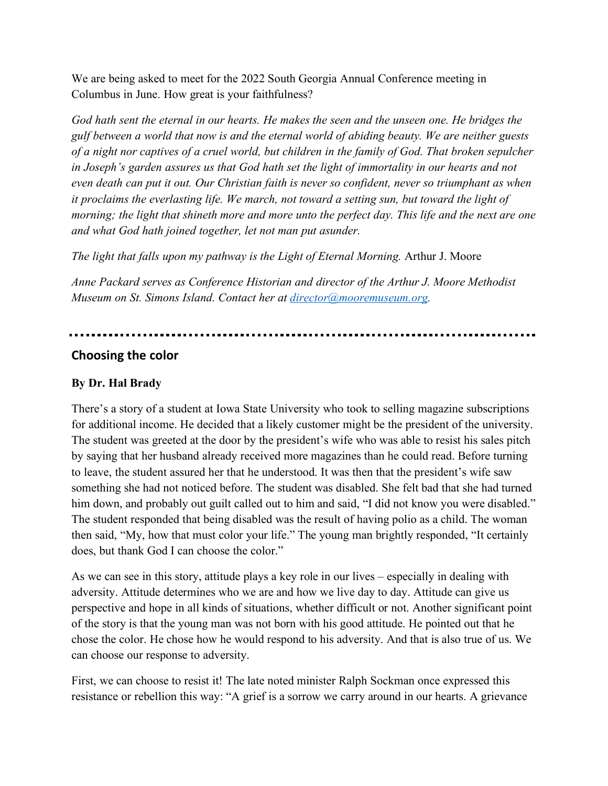We are being asked to meet for the 2022 South Georgia Annual Conference meeting in Columbus in June. How great is your faithfulness?

*God hath sent the eternal in our hearts. He makes the seen and the unseen one. He bridges the gulf between a world that now is and the eternal world of abiding beauty. We are neither guests of a night nor captives of a cruel world, but children in the family of God. That broken sepulcher in Joseph's garden assures us that God hath set the light of immortality in our hearts and not even death can put it out. Our Christian faith is never so confident, never so triumphant as when it proclaims the everlasting life. We march, not toward a setting sun, but toward the light of morning; the light that shineth more and more unto the perfect day. This life and the next are one and what God hath joined together, let not man put asunder.*

*The light that falls upon my pathway is the Light of Eternal Morning.* Arthur J. Moore

*Anne Packard serves as Conference Historian and director of the Arthur J. Moore Methodist Museum on St. Simons Island. Contact her at director@mooremuseum.org.* 

## **Choosing the color**

## **By Dr. Hal Brady**

There's a story of a student at Iowa State University who took to selling magazine subscriptions for additional income. He decided that a likely customer might be the president of the university. The student was greeted at the door by the president's wife who was able to resist his sales pitch by saying that her husband already received more magazines than he could read. Before turning to leave, the student assured her that he understood. It was then that the president's wife saw something she had not noticed before. The student was disabled. She felt bad that she had turned him down, and probably out guilt called out to him and said, "I did not know you were disabled." The student responded that being disabled was the result of having polio as a child. The woman then said, "My, how that must color your life." The young man brightly responded, "It certainly does, but thank God I can choose the color."

As we can see in this story, attitude plays a key role in our lives – especially in dealing with adversity. Attitude determines who we are and how we live day to day. Attitude can give us perspective and hope in all kinds of situations, whether difficult or not. Another significant point of the story is that the young man was not born with his good attitude. He pointed out that he chose the color. He chose how he would respond to his adversity. And that is also true of us. We can choose our response to adversity.

First, we can choose to resist it! The late noted minister Ralph Sockman once expressed this resistance or rebellion this way: "A grief is a sorrow we carry around in our hearts. A grievance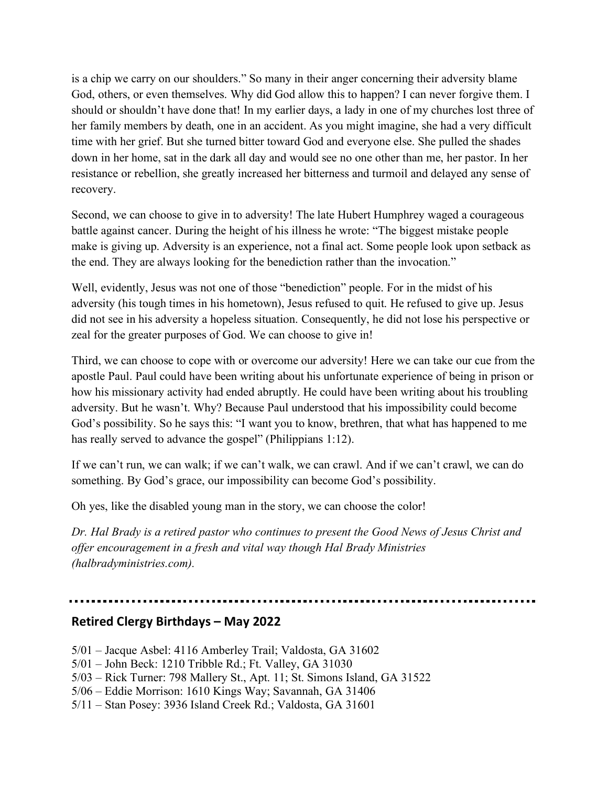is a chip we carry on our shoulders." So many in their anger concerning their adversity blame God, others, or even themselves. Why did God allow this to happen? I can never forgive them. I should or shouldn't have done that! In my earlier days, a lady in one of my churches lost three of her family members by death, one in an accident. As you might imagine, she had a very difficult time with her grief. But she turned bitter toward God and everyone else. She pulled the shades down in her home, sat in the dark all day and would see no one other than me, her pastor. In her resistance or rebellion, she greatly increased her bitterness and turmoil and delayed any sense of recovery.

Second, we can choose to give in to adversity! The late Hubert Humphrey waged a courageous battle against cancer. During the height of his illness he wrote: "The biggest mistake people make is giving up. Adversity is an experience, not a final act. Some people look upon setback as the end. They are always looking for the benediction rather than the invocation."

Well, evidently, Jesus was not one of those "benediction" people. For in the midst of his adversity (his tough times in his hometown), Jesus refused to quit. He refused to give up. Jesus did not see in his adversity a hopeless situation. Consequently, he did not lose his perspective or zeal for the greater purposes of God. We can choose to give in!

Third, we can choose to cope with or overcome our adversity! Here we can take our cue from the apostle Paul. Paul could have been writing about his unfortunate experience of being in prison or how his missionary activity had ended abruptly. He could have been writing about his troubling adversity. But he wasn't. Why? Because Paul understood that his impossibility could become God's possibility. So he says this: "I want you to know, brethren, that what has happened to me has really served to advance the gospel" (Philippians 1:12).

If we can't run, we can walk; if we can't walk, we can crawl. And if we can't crawl, we can do something. By God's grace, our impossibility can become God's possibility.

Oh yes, like the disabled young man in the story, we can choose the color!

*Dr. Hal Brady is a retired pastor who continues to present the Good News of Jesus Christ and offer encouragement in a fresh and vital way though Hal Brady Ministries (halbradyministries.com).*

## **Retired Clergy Birthdays – May 2022**

- 5/01 Jacque Asbel: 4116 Amberley Trail; Valdosta, GA 31602
- 5/01 John Beck: 1210 Tribble Rd.; Ft. Valley, GA 31030
- 5/03 Rick Turner: 798 Mallery St., Apt. 11; St. Simons Island, GA 31522
- 5/06 Eddie Morrison: 1610 Kings Way; Savannah, GA 31406
- 5/11 Stan Posey: 3936 Island Creek Rd.; Valdosta, GA 31601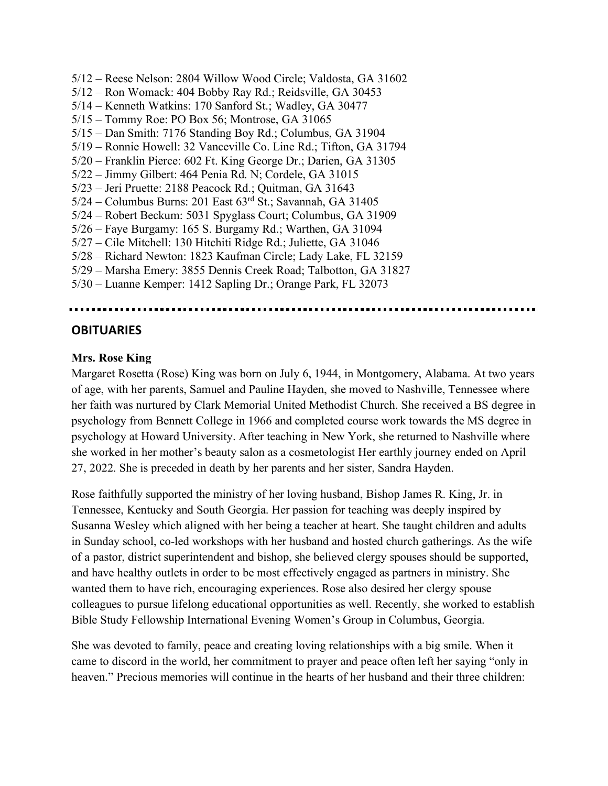5/12 – Reese Nelson: 2804 Willow Wood Circle; Valdosta, GA 31602 5/12 – Ron Womack: 404 Bobby Ray Rd.; Reidsville, GA 30453 5/14 – Kenneth Watkins: 170 Sanford St.; Wadley, GA 30477 5/15 – Tommy Roe: PO Box 56; Montrose, GA 31065 5/15 – Dan Smith: 7176 Standing Boy Rd.; Columbus, GA 31904 5/19 – Ronnie Howell: 32 Vanceville Co. Line Rd.; Tifton, GA 31794 5/20 – Franklin Pierce: 602 Ft. King George Dr.; Darien, GA 31305 5/22 – Jimmy Gilbert: 464 Penia Rd. N; Cordele, GA 31015 5/23 – Jeri Pruette: 2188 Peacock Rd.; Quitman, GA 31643 5/24 – Columbus Burns: 201 East 63rd St.; Savannah, GA 31405 5/24 – Robert Beckum: 5031 Spyglass Court; Columbus, GA 31909 5/26 – Faye Burgamy: 165 S. Burgamy Rd.; Warthen, GA 31094 5/27 – Cile Mitchell: 130 Hitchiti Ridge Rd.; Juliette, GA 31046 5/28 – Richard Newton: 1823 Kaufman Circle; Lady Lake, FL 32159 5/29 – Marsha Emery: 3855 Dennis Creek Road; Talbotton, GA 31827 5/30 – Luanne Kemper: 1412 Sapling Dr.; Orange Park, FL 32073

### **OBITUARIES**

#### **Mrs. Rose King**

Margaret Rosetta (Rose) King was born on July 6, 1944, in Montgomery, Alabama. At two years of age, with her parents, Samuel and Pauline Hayden, she moved to Nashville, Tennessee where her faith was nurtured by Clark Memorial United Methodist Church. She received a BS degree in psychology from Bennett College in 1966 and completed course work towards the MS degree in psychology at Howard University. After teaching in New York, she returned to Nashville where she worked in her mother's beauty salon as a cosmetologist Her earthly journey ended on April 27, 2022. She is preceded in death by her parents and her sister, Sandra Hayden.

Rose faithfully supported the ministry of her loving husband, Bishop James R. King, Jr. in Tennessee, Kentucky and South Georgia. Her passion for teaching was deeply inspired by Susanna Wesley which aligned with her being a teacher at heart. She taught children and adults in Sunday school, co-led workshops with her husband and hosted church gatherings. As the wife of a pastor, district superintendent and bishop, she believed clergy spouses should be supported, and have healthy outlets in order to be most effectively engaged as partners in ministry. She wanted them to have rich, encouraging experiences. Rose also desired her clergy spouse colleagues to pursue lifelong educational opportunities as well. Recently, she worked to establish Bible Study Fellowship International Evening Women's Group in Columbus, Georgia.

She was devoted to family, peace and creating loving relationships with a big smile. When it came to discord in the world, her commitment to prayer and peace often left her saying "only in heaven." Precious memories will continue in the hearts of her husband and their three children: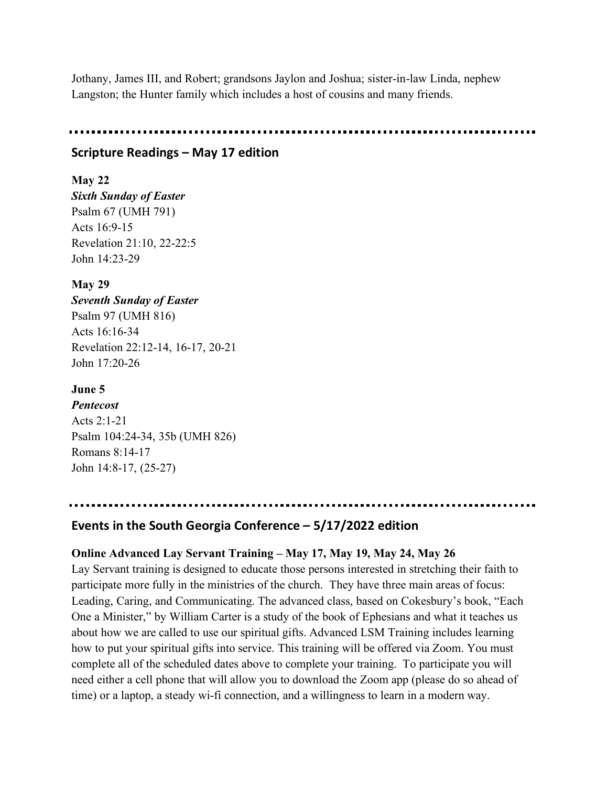Jothany, James III, and Robert; grandsons Jaylon and Joshua; sister-in-law Linda, nephew Langston; the Hunter family which includes a host of cousins and many friends.

## **Scripture Readings – May 17 edition**

## **May 22**

*Sixth Sunday of Easter* Psalm 67 (UMH 791) Acts 16:9-15 Revelation 21:10, 22-22:5 John 14:23-29

## **May 29**

*Seventh Sunday of Easter* Psalm 97 (UMH 816) Acts 16:16-34 Revelation 22:12-14, 16-17, 20-21 John 17:20-26

## **June 5**

*Pentecost* Acts 2:1-21 Psalm 104:24-34, 35b (UMH 826) Romans 8:14-17 John 14:8-17, (25-27)

## **Events in the South Georgia Conference – 5/17/2022 edition**

## **Online Advanced Lay Servant Training – May 17, May 19, May 24, May 26**

Lay Servant training is designed to educate those persons interested in stretching their faith to participate more fully in the ministries of the church. They have three main areas of focus: Leading, Caring, and Communicating. The advanced class, based on Cokesbury's book, "Each One a Minister," by William Carter is a study of the book of Ephesians and what it teaches us about how we are called to use our spiritual gifts. Advanced LSM Training includes learning how to put your spiritual gifts into service. This training will be offered via Zoom. You must complete all of the scheduled dates above to complete your training. To participate you will need either a cell phone that will allow you to download the Zoom app (please do so ahead of time) or a laptop, a steady wi-fi connection, and a willingness to learn in a modern way.